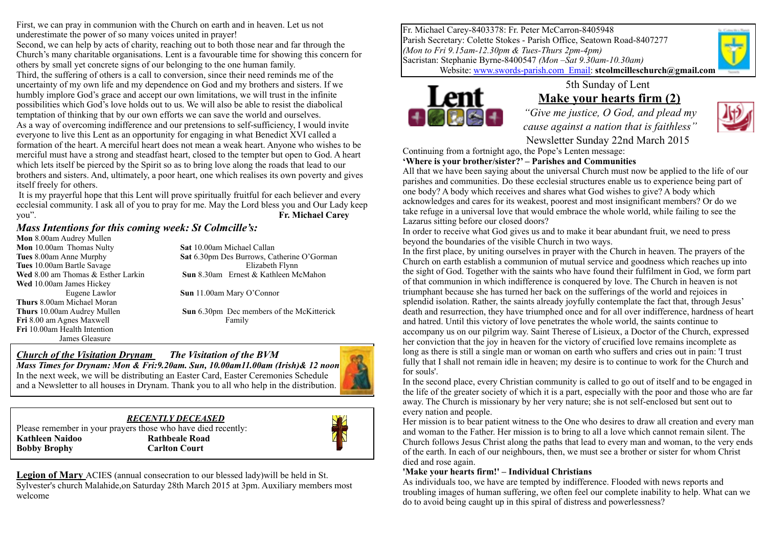First, we can pray in communion with the Church on earth and in heaven. Let us not underestimate the power of so many voices united in prayer!

Second, we can help by acts of charity, reaching out to both those near and far through the Church's many charitable organisations. Lent is a favourable time for showing this concern for others by small yet concrete signs of our belonging to the one human family. Third, the suffering of others is a call to conversion, since their need reminds me of the uncertainty of my own life and my dependence on God and my brothers and sisters. If we humbly implore God's grace and accept our own limitations, we will trust in the infinite possibilities which God's love holds out to us. We will also be able to resist the diabolical temptation of thinking that by our own efforts we can save the world and ourselves. As a way of overcoming indifference and our pretensions to self-sufficiency, I would invite everyone to live this Lent as an opportunity for engaging in what Benedict XVI called a formation of the heart. A merciful heart does not mean a weak heart. Anyone who wishes to be merciful must have a strong and steadfast heart, closed to the tempter but open to God. A heart which lets itself be pierced by the Spirit so as to bring love along the roads that lead to our brothers and sisters. And, ultimately, a poor heart, one which realises its own poverty and gives itself freely for others.

 It is my prayerful hope that this Lent will prove spiritually fruitful for each believer and every ecclesial community. I ask all of you to pray for me. May the Lord bless you and Our Lady keep you". **Fr. Michael Carey**

### *Mass Intentions for this coming week: St Colmcille's:*

**Mon** 8.00am Audrey Mullen **Mon** 10.00am Thomas Nulty **Sat** 10.00am Michael Callan **Tues** 10.00am Bartle SavageElizabeth Flynn **Wed** 10.00am James Hickey **Thurs** 8.00am Michael Moran **Fri** 8.00 am Agnes Maxwell Family **Fri** 10.00am Health Intention James Gleasure

**Tues** 8.00am Anne Murphy **Sat** 6.30pm Des Burrows, Catherine O'Gorman **Wed** 8.00 am Thomas & Esther Larkin **Sun** 8.30am Ernest & Kathleen McMahon Eugene Lawlor **Sun** 11.00am Mary O'Connor

**Thurs** 10.00am Audrey Mullen **Sun** 6.30pm Dec members of the McKitterick

## *Church of the Visitation Drynam**The Visitation of the BVM*

*Mass Times for Drynam: Mon & Fri:9.20am. Sun, 10.00am11.00am (Irish)& 12 noon* In the next week, we will be distributing an Easter Card, Easter Ceremonies Schedule and a Newsletter to all houses in Drynam. Thank you to all who help in the distribution.

### *RECENTLY DECEASED*

Please remember in your prayers those who have died recently: **Kathleen Naidoo Rathbeale Road Bobby Brophy Carlton Court** 



Fr. Michael Carey-8403378: Fr. Peter McCarron-8405948 Parish Secretary: Colette Stokes - Parish Office, Seatown Road-8407277 *(Mon to Fri 9.15am-12.30pm & Tues-Thurs 2pm-4pm)* Sacristan: Stephanie Byrne-8400547 *(Mon –Sat 9.30am-10.30am)*

Website: [www.swords-parish.com Email](http://www.swords-parish.com%20%20email): **stcolmcilleschurch@gmail.com**



## 5th Sunday of Lent **Make your hearts firm (2)**

*"Give me justice, O God, and plead my cause against a nation that is faithless"*  Newsletter Sunday 22nd March 2015



Continuing from a fortnight ago, the Pope's Lenten message:

**'Where is your brother/sister?' – Parishes and Communities**  All that we have been saying about the universal Church must now be applied to the life of our

parishes and communities. Do these ecclesial structures enable us to experience being part of one body? A body which receives and shares what God wishes to give? A body which acknowledges and cares for its weakest, poorest and most insignificant members? Or do we take refuge in a universal love that would embrace the whole world, while failing to see the Lazarus sitting before our closed doors?

In order to receive what God gives us and to make it bear abundant fruit, we need to press beyond the boundaries of the visible Church in two ways.

In the first place, by uniting ourselves in prayer with the Church in heaven. The prayers of the Church on earth establish a communion of mutual service and goodness which reaches up into the sight of God. Together with the saints who have found their fulfilment in God, we form part of that communion in which indifference is conquered by love. The Church in heaven is not triumphant because she has turned her back on the sufferings of the world and rejoices in splendid isolation. Rather, the saints already joyfully contemplate the fact that, through Jesus' death and resurrection, they have triumphed once and for all over indifference, hardness of heart and hatred. Until this victory of love penetrates the whole world, the saints continue to accompany us on our pilgrim way. Saint Therese of Lisieux, a Doctor of the Church, expressed her conviction that the joy in heaven for the victory of crucified love remains incomplete as long as there is still a single man or woman on earth who suffers and cries out in pain: 'I trust fully that I shall not remain idle in heaven; my desire is to continue to work for the Church and for souls'.

In the second place, every Christian community is called to go out of itself and to be engaged in the life of the greater society of which it is a part, especially with the poor and those who are far away. The Church is missionary by her very nature; she is not self-enclosed but sent out to every nation and people.

Her mission is to bear patient witness to the One who desires to draw all creation and every man and woman to the Father. Her mission is to bring to all a love which cannot remain silent. The Church follows Jesus Christ along the paths that lead to every man and woman, to the very ends of the earth. In each of our neighbours, then, we must see a brother or sister for whom Christ died and rose again.

### **'Make your hearts firm!' – Individual Christians**

As individuals too, we have are tempted by indifference. Flooded with news reports and troubling images of human suffering, we often feel our complete inability to help. What can we do to avoid being caught up in this spiral of distress and powerlessness?